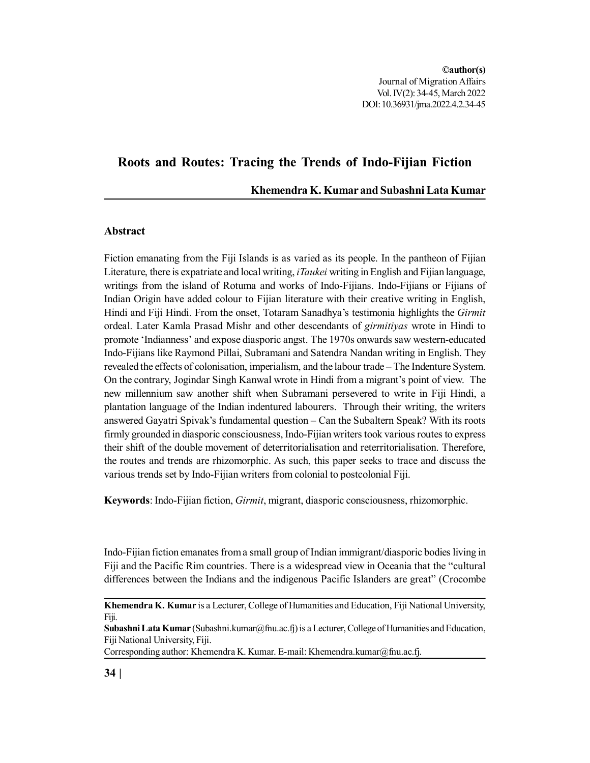# **Roots and Routes: Tracing the Trends of Indo-Fijian Fiction**

## **Khemendra K. Kumar and Subashni Lata Kumar**

## **Abstract**

Fiction emanating from the Fiji Islands is as varied as its people. In the pantheon of Fijian Literature, there is expatriate and local writing, *iTaukei* writing in English and Fijian language, writings from the island of Rotuma and works of Indo-Fijians. Indo-Fijians or Fijians of Indian Origin have added colour to Fijian literature with their creative writing in English, Hindi and Fiji Hindi. From the onset, Totaram Sanadhya's testimonia highlights the *Girmit* ordeal. Later Kamla Prasad Mishr and other descendants of *girmitiyas* wrote in Hindi to promote 'Indianness' and expose diasporic angst. The 1970s onwards saw western-educated Indo-Fijians like Raymond Pillai, Subramani and Satendra Nandan writing in English. They revealed the effects of colonisation, imperialism, and the labour trade – The Indenture System. On the contrary, Jogindar Singh Kanwal wrote in Hindi from a migrant's point of view. The new millennium saw another shift when Subramani persevered to write in Fiji Hindi, a plantation language of the Indian indentured labourers. Through their writing, the writers answered Gayatri Spivak's fundamental question – Can the Subaltern Speak? With its roots firmly grounded in diasporic consciousness, Indo-Fijian writers took various routes to express their shift of the double movement of deterritorialisation and reterritorialisation. Therefore, the routes and trends are rhizomorphic. As such, this paper seeks to trace and discuss the various trends set by Indo-Fijian writers from colonial to postcolonial Fiji.

**Keywords**: Indo-Fijian fiction, *Girmit*, migrant, diasporic consciousness, rhizomorphic.

Indo-Fijian fiction emanates from a small group of Indian immigrant/diasporic bodies living in Fiji and the Pacific Rim countries. There is a widespread view in Oceania that the "cultural differences between the Indians and the indigenous Pacific Islanders are great" (Crocombe

Corresponding author: Khemendra K. Kumar. E-mail: Khemendra.kumar@fnu.ac.fj.

**Khemendra K. Kumar** is a Lecturer, College of Humanities and Education, Fiji National University, Fiji.

**Subashni Lata Kumar** (Subashni.kumar@fnu.ac.fj) is a Lecturer, College of Humanities and Education, Fiji National University, Fiji.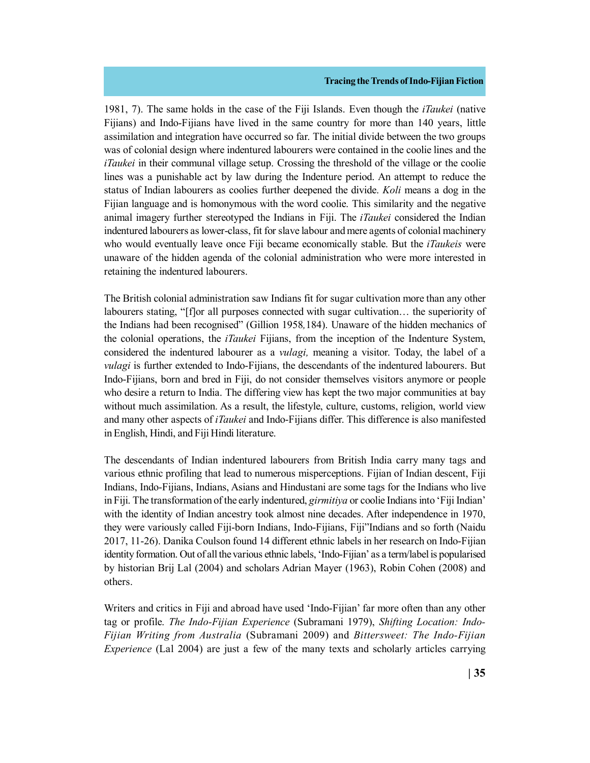1981, 7). The same holds in the case of the Fiji Islands. Even though the *iTaukei* (native Fijians) and Indo-Fijians have lived in the same country for more than 140 years, little assimilation and integration have occurred so far. The initial divide between the two groups was of colonial design where indentured labourers were contained in the coolie lines and the *iTaukei* in their communal village setup. Crossing the threshold of the village or the coolie lines was a punishable act by law during the Indenture period. An attempt to reduce the status of Indian labourers as coolies further deepened the divide. *Koli* means a dog in the Fijian language and is homonymous with the word coolie. This similarity and the negative animal imagery further stereotyped the Indians in Fiji. The *iTaukei* considered the Indian indentured labourers as lower-class, fit for slave labour and mere agents of colonial machinery who would eventually leave once Fiji became economically stable. But the *iTaukeis* were unaware of the hidden agenda of the colonial administration who were more interested in retaining the indentured labourers.

The British colonial administration saw Indians fit for sugar cultivation more than any other labourers stating, "[f]or all purposes connected with sugar cultivation... the superiority of the Indians had been recognised" (Gillion 1958*,*184). Unaware of the hidden mechanics of the colonial operations, the *iTaukei* Fijians, from the inception of the Indenture System, considered the indentured labourer as a *vulagi,* meaning a visitor. Today, the label of a *vulagi* is further extended to Indo-Fijians, the descendants of the indentured labourers. But Indo-Fijians, born and bred in Fiji, do not consider themselves visitors anymore or people who desire a return to India. The differing view has kept the two major communities at bay without much assimilation. As a result, the lifestyle, culture, customs, religion, world view and many other aspects of *iTaukei* and Indo-Fijians differ. This difference is also manifested in English, Hindi, and Fiji Hindi literature.

The descendants of Indian indentured labourers from British India carry many tags and various ethnic profiling that lead to numerous misperceptions. Fijian of Indian descent, Fiji Indians, Indo-Fijians, Indians, Asians and Hindustani are some tags for the Indians who live in Fiji. The transformation of the early indentured, *girmitiya* or coolie Indians into 'Fiji Indian' with the identity of Indian ancestry took almost nine decades. After independence in 1970, they were variously called Fiji-born Indians, Indo-Fijians, Fiji"Indians and so forth (Naidu 2017, 11-26). Danika Coulson found 14 different ethnic labels in her research on Indo-Fijian identity formation. Out of all the various ethnic labels, 'Indo-Fijian' as a term/label is popularised by historian Brij Lal (2004) and scholars Adrian Mayer (1963), Robin Cohen (2008) and others.

Writers and critics in Fiji and abroad have used 'Indo-Fijian' far more often than any other tag or profile. *The Indo-Fijian Experience* (Subramani 1979), *Shifting Location: Indo-Fijian Writing from Australia* (Subramani 2009) and *Bittersweet: The Indo-Fijian Experience* (Lal 2004) are just a few of the many texts and scholarly articles carrying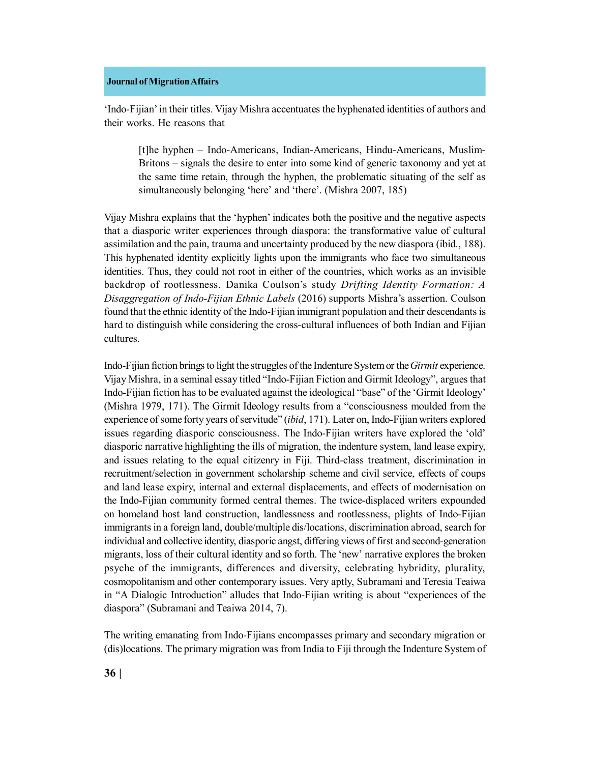'Indo-Fijian' in their titles. Vijay Mishra accentuates the hyphenated identities of authors and their works. He reasons that

[t]he hyphen – Indo-Americans, Indian-Americans, Hindu-Americans, Muslim-Britons – signals the desire to enter into some kind of generic taxonomy and yet at the same time retain, through the hyphen, the problematic situating of the self as simultaneously belonging 'here' and 'there'. (Mishra 2007, 185)

Vijay Mishra explains that the 'hyphen' indicates both the positive and the negative aspects that a diasporic writer experiences through diaspora: the transformative value of cultural assimilation and the pain, trauma and uncertainty produced by the new diaspora (ibid., 188). This hyphenated identity explicitly lights upon the immigrants who face two simultaneous identities. Thus, they could not root in either of the countries, which works as an invisible backdrop of rootlessness. Danika Coulson's study *Drifting Identity Formation: A Disaggregation of Indo-Fijian Ethnic Labels* (2016) supports Mishra's assertion. Coulson found that the ethnic identity of the Indo-Fijian immigrant population and their descendants is hard to distinguish while considering the cross-cultural influences of both Indian and Fijian cultures.

Indo-Fijian fiction brings to light the struggles of the Indenture System or the *Girmit* experience. Vijay Mishra, in a seminal essay titled "Indo-Fijian Fiction and Girmit Ideology", argues that Indo-Fijian fiction has to be evaluated against the ideological "base" of the 'Girmit Ideology' (Mishra 1979, 171). The Girmit Ideology results from a "consciousness moulded from the experience of some forty years of servitude" (*ibid*, 171). Later on, Indo-Fijian writers explored issues regarding diasporic consciousness. The Indo-Fijian writers have explored the 'old' diasporic narrative highlighting the ills of migration, the indenture system, land lease expiry, and issues relating to the equal citizenry in Fiji. Third-class treatment, discrimination in recruitment/selection in government scholarship scheme and civil service, effects of coups and land lease expiry, internal and external displacements, and effects of modernisation on the Indo-Fijian community formed central themes. The twice-displaced writers expounded on homeland host land construction, landlessness and rootlessness, plights of Indo-Fijian immigrants in a foreign land, double/multiple dis/locations, discrimination abroad, search for individual and collective identity, diasporic angst, differing views of first and second-generation migrants, loss of their cultural identity and so forth. The 'new' narrative explores the broken psyche of the immigrants, differences and diversity, celebrating hybridity, plurality, cosmopolitanism and other contemporary issues. Very aptly, Subramani and Teresia Teaiwa in "A Dialogic Introduction" alludes that Indo-Fijian writing is about "experiences of the diaspora" (Subramani and Teaiwa 2014, 7).

The writing emanating from Indo-Fijians encompasses primary and secondary migration or (dis)locations. The primary migration was from India to Fiji through the Indenture System of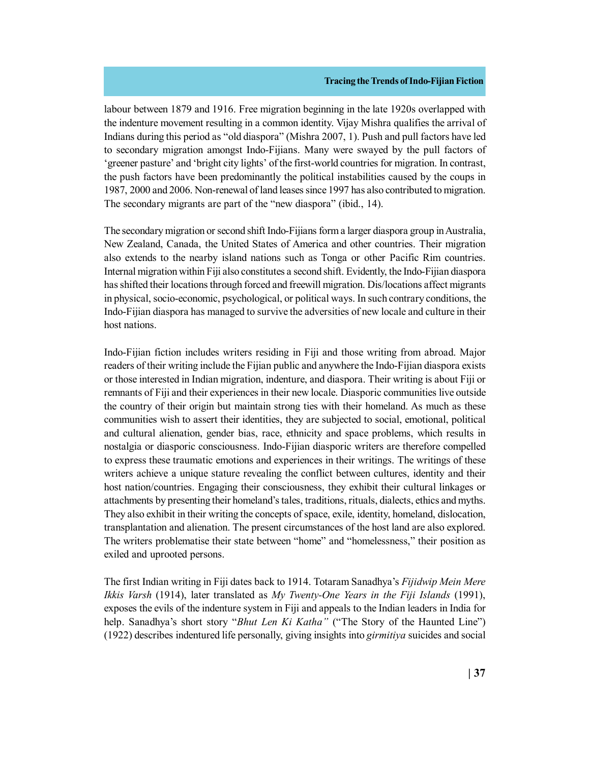labour between 1879 and 1916. Free migration beginning in the late 1920s overlapped with the indenture movement resulting in a common identity. Vijay Mishra qualifies the arrival of Indians during this period as "old diaspora" (Mishra 2007, 1). Push and pull factors have led to secondary migration amongst Indo-Fijians. Many were swayed by the pull factors of 'greener pasture' and 'bright city lights' of the first-world countries for migration. In contrast, the push factors have been predominantly the political instabilities caused by the coups in 1987, 2000 and 2006. Non-renewal of land leases since 1997 has also contributed to migration. The secondary migrants are part of the "new diaspora" (ibid., 14).

The secondary migration or second shift Indo-Fijians form a larger diaspora group in Australia, New Zealand, Canada, the United States of America and other countries. Their migration also extends to the nearby island nations such as Tonga or other Pacific Rim countries. Internal migration within Fiji also constitutes a second shift. Evidently, the Indo-Fijian diaspora has shifted their locations through forced and freewill migration. Dis/locations affect migrants in physical, socio-economic, psychological, or political ways. In such contrary conditions, the Indo-Fijian diaspora has managed to survive the adversities of new locale and culture in their host nations.

Indo-Fijian fiction includes writers residing in Fiji and those writing from abroad. Major readers of their writing include the Fijian public and anywhere the Indo-Fijian diaspora exists or those interested in Indian migration, indenture, and diaspora. Their writing is about Fiji or remnants of Fiji and their experiences in their new locale. Diasporic communities live outside the country of their origin but maintain strong ties with their homeland. As much as these communities wish to assert their identities, they are subjected to social, emotional, political and cultural alienation, gender bias, race, ethnicity and space problems, which results in nostalgia or diasporic consciousness. Indo-Fijian diasporic writers are therefore compelled to express these traumatic emotions and experiences in their writings. The writings of these writers achieve a unique stature revealing the conflict between cultures, identity and their host nation/countries. Engaging their consciousness, they exhibit their cultural linkages or attachments by presenting their homeland's tales, traditions, rituals, dialects, ethics and myths. They also exhibit in their writing the concepts of space, exile, identity, homeland, dislocation, transplantation and alienation. The present circumstances of the host land are also explored. The writers problematise their state between "home" and "homelessness," their position as exiled and uprooted persons.

The first Indian writing in Fiji dates back to 1914. Totaram Sanadhya's *Fijidwip Mein Mere Ikkis Varsh* (1914), later translated as *My Twenty-One Years in the Fiji Islands* (1991), exposes the evils of the indenture system in Fiji and appeals to the Indian leaders in India for help. Sanadhya's short story "*Bhut Len Ki Katha"* ("The Story of the Haunted Line") (1922) describes indentured life personally, giving insights into *girmitiya* suicides and social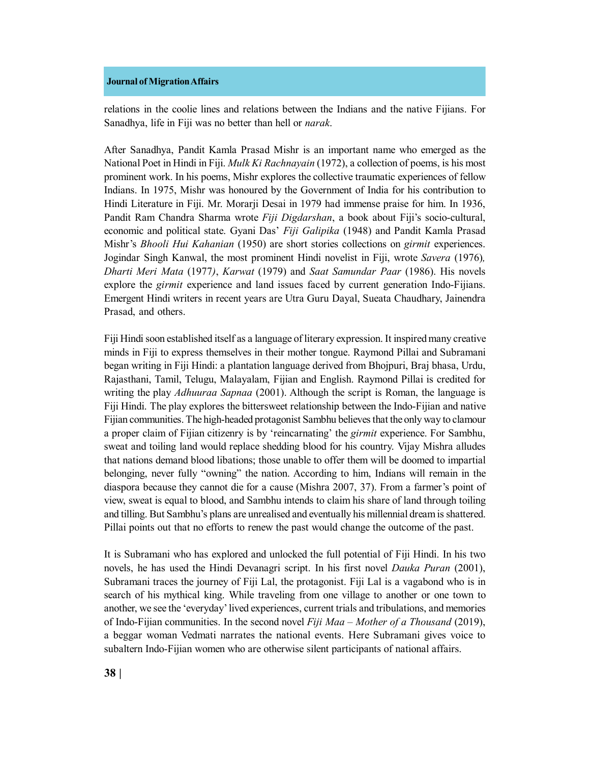relations in the coolie lines and relations between the Indians and the native Fijians. For Sanadhya, life in Fiji was no better than hell or *narak*.

After Sanadhya, Pandit Kamla Prasad Mishr is an important name who emerged as the National Poet in Hindi in Fiji. *Mulk Ki Rachnayain* (1972), a collection of poems, is his most prominent work. In his poems, Mishr explores the collective traumatic experiences of fellow Indians. In 1975, Mishr was honoured by the Government of India for his contribution to Hindi Literature in Fiji. Mr. Morarji Desai in 1979 had immense praise for him. In 1936, Pandit Ram Chandra Sharma wrote *Fiji Digdarshan*, a book about Fiji's socio-cultural, economic and political state. Gyani Das' *Fiji Galipika* (1948) and Pandit Kamla Prasad Mishr's *Bhooli Hui Kahanian* (1950) are short stories collections on *girmit* experiences. Jogindar Singh Kanwal, the most prominent Hindi novelist in Fiji, wrote *Savera* (1976)*, Dharti Meri Mata* (1977*)*, *Karwat* (1979) and *Saat Samundar Paar* (1986). His novels explore the *girmit* experience and land issues faced by current generation Indo-Fijians. Emergent Hindi writers in recent years are Utra Guru Dayal, Sueata Chaudhary, Jainendra Prasad, and others.

Fiji Hindi soon established itself as a language of literary expression. It inspired many creative minds in Fiji to express themselves in their mother tongue. Raymond Pillai and Subramani began writing in Fiji Hindi: a plantation language derived from Bhojpuri, Braj bhasa, Urdu, Rajasthani, Tamil, Telugu, Malayalam, Fijian and English. Raymond Pillai is credited for writing the play *Adhuuraa Sapnaa* (2001). Although the script is Roman, the language is Fiji Hindi. The play explores the bittersweet relationship between the Indo-Fijian and native Fijian communities. The high-headed protagonist Sambhu believes that the only way to clamour a proper claim of Fijian citizenry is by 'reincarnating' the *girmit* experience. For Sambhu, sweat and toiling land would replace shedding blood for his country. Vijay Mishra alludes that nations demand blood libations; those unable to offer them will be doomed to impartial belonging, never fully "owning" the nation. According to him, Indians will remain in the diaspora because they cannot die for a cause (Mishra 2007, 37). From a farmer's point of view, sweat is equal to blood, and Sambhu intends to claim his share of land through toiling and tilling. But Sambhu's plans are unrealised and eventually his millennial dream is shattered. Pillai points out that no efforts to renew the past would change the outcome of the past.

It is Subramani who has explored and unlocked the full potential of Fiji Hindi. In his two novels, he has used the Hindi Devanagri script. In his first novel *Dauka Puran* (2001), Subramani traces the journey of Fiji Lal, the protagonist. Fiji Lal is a vagabond who is in search of his mythical king. While traveling from one village to another or one town to another, we see the 'everyday' lived experiences, current trials and tribulations, and memories of Indo-Fijian communities. In the second novel *Fiji Maa – Mother of a Thousand* (2019), a beggar woman Vedmati narrates the national events. Here Subramani gives voice to subaltern Indo-Fijian women who are otherwise silent participants of national affairs.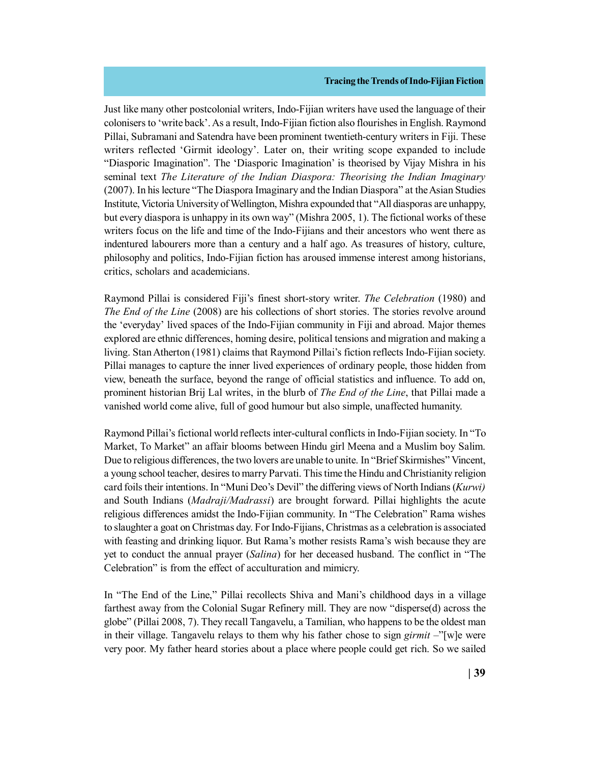Just like many other postcolonial writers, Indo-Fijian writers have used the language of their colonisers to 'write back'. As a result, Indo-Fijian fiction also flourishes in English. Raymond Pillai, Subramani and Satendra have been prominent twentieth-century writers in Fiji. These writers reflected 'Girmit ideology'. Later on, their writing scope expanded to include "Diasporic Imagination". The 'Diasporic Imagination' is theorised by Vijay Mishra in his seminal text *The Literature of the Indian Diaspora: Theorising the Indian Imaginary* (2007). In his lecture "The Diaspora Imaginary and the Indian Diaspora" at the Asian Studies Institute, Victoria University of Wellington, Mishra expounded that "All diasporas are unhappy, but every diaspora is unhappy in its own way" (Mishra 2005, 1). The fictional works of these writers focus on the life and time of the Indo-Fijians and their ancestors who went there as indentured labourers more than a century and a half ago. As treasures of history, culture, philosophy and politics, Indo-Fijian fiction has aroused immense interest among historians, critics, scholars and academicians.

Raymond Pillai is considered Fiji's finest short-story writer. *The Celebration* (1980) and *The End of the Line* (2008) are his collections of short stories. The stories revolve around the 'everyday' lived spaces of the Indo-Fijian community in Fiji and abroad. Major themes explored are ethnic differences, homing desire, political tensions and migration and making a living. Stan Atherton (1981) claims that Raymond Pillai's fiction reflects Indo-Fijian society. Pillai manages to capture the inner lived experiences of ordinary people, those hidden from view, beneath the surface, beyond the range of official statistics and influence. To add on, prominent historian Brij Lal writes, in the blurb of *The End of the Line*, that Pillai made a vanished world come alive, full of good humour but also simple, unaffected humanity.

Raymond Pillai's fictional world reflects inter-cultural conflicts in Indo-Fijian society. In "To Market, To Market" an affair blooms between Hindu girl Meena and a Muslim boy Salim. Due to religious differences, the two lovers are unable to unite. In "Brief Skirmishes" Vincent, a young school teacher, desires to marry Parvati. This time the Hindu and Christianity religion card foils their intentions. In "Muni Deo's Devil" the differing views of North Indians (*Kurwi)* and South Indians (*Madraji/Madrassi*) are brought forward. Pillai highlights the acute religious differences amidst the Indo-Fijian community. In "The Celebration" Rama wishes to slaughter a goat on Christmas day. For Indo-Fijians, Christmas as a celebration is associated with feasting and drinking liquor. But Rama's mother resists Rama's wish because they are yet to conduct the annual prayer (*Salina*) for her deceased husband. The conflict in "The Celebration" is from the effect of acculturation and mimicry.

In "The End of the Line," Pillai recollects Shiva and Mani's childhood days in a village farthest away from the Colonial Sugar Refinery mill. They are now "disperse(d) across the globe" (Pillai 2008, 7). They recall Tangavelu, a Tamilian, who happens to be the oldest man in their village. Tangavelu relays to them why his father chose to sign *girmit* –"[w]e were very poor. My father heard stories about a place where people could get rich. So we sailed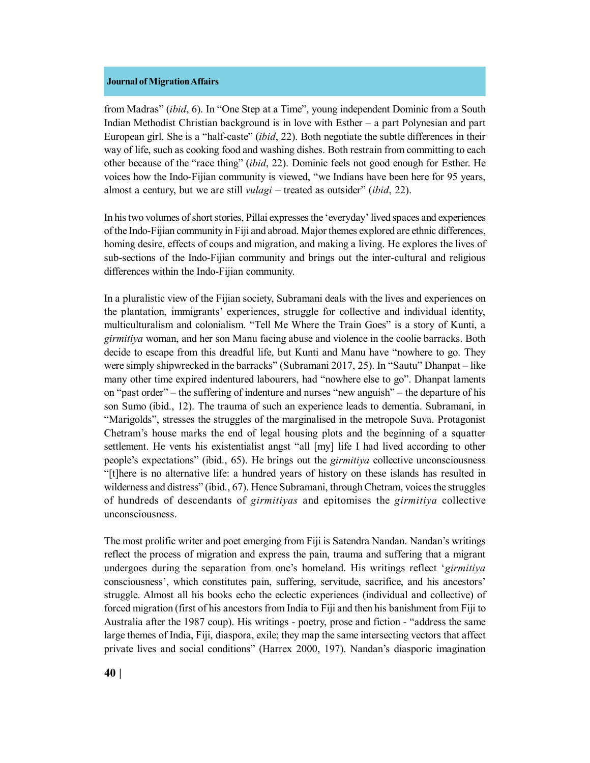from Madras" (*ibid*, 6). In "One Step at a Time", young independent Dominic from a South Indian Methodist Christian background is in love with Esther – a part Polynesian and part European girl. She is a "half-caste" (*ibid*, 22). Both negotiate the subtle differences in their way of life, such as cooking food and washing dishes. Both restrain from committing to each other because of the "race thing" (*ibid*, 22). Dominic feels not good enough for Esther. He voices how the Indo-Fijian community is viewed, "we Indians have been here for 95 years, almost a century, but we are still *vulagi* – treated as outsider" (*ibid*, 22).

In his two volumes of short stories, Pillai expresses the 'everyday' lived spaces and experiences of the Indo-Fijian community in Fiji and abroad. Major themes explored are ethnic differences, homing desire, effects of coups and migration, and making a living. He explores the lives of sub-sections of the Indo-Fijian community and brings out the inter-cultural and religious differences within the Indo-Fijian community.

In a pluralistic view of the Fijian society, Subramani deals with the lives and experiences on the plantation, immigrants' experiences, struggle for collective and individual identity, multiculturalism and colonialism. "Tell Me Where the Train Goes" is a story of Kunti, a *girmitiya* woman, and her son Manu facing abuse and violence in the coolie barracks. Both decide to escape from this dreadful life, but Kunti and Manu have "nowhere to go. They were simply shipwrecked in the barracks" (Subramani 2017, 25). In "Sautu" Dhanpat – like many other time expired indentured labourers, had "nowhere else to go". Dhanpat laments on "past order" – the suffering of indenture and nurses "new anguish" – the departure of his son Sumo (ibid., 12). The trauma of such an experience leads to dementia. Subramani, in "Marigolds", stresses the struggles of the marginalised in the metropole Suva. Protagonist Chetram's house marks the end of legal housing plots and the beginning of a squatter settlement. He vents his existentialist angst "all [my] life I had lived according to other people's expectations" (ibid., 65). He brings out the *girmitiya* collective unconsciousness "[t]here is no alternative life: a hundred years of history on these islands has resulted in wilderness and distress" (ibid., 67). Hence Subramani, through Chetram, voices the struggles of hundreds of descendants of *girmitiyas* and epitomises the *girmitiya* collective unconsciousness.

The most prolific writer and poet emerging from Fiji is Satendra Nandan. Nandan's writings reflect the process of migration and express the pain, trauma and suffering that a migrant undergoes during the separation from one's homeland. His writings reflect '*girmitiya* consciousness', which constitutes pain, suffering, servitude, sacrifice, and his ancestors' struggle. Almost all his books echo the eclectic experiences (individual and collective) of forced migration (first of his ancestors from India to Fiji and then his banishment from Fiji to Australia after the 1987 coup). His writings - poetry, prose and fiction - "address the same large themes of India, Fiji, diaspora, exile; they map the same intersecting vectors that affect private lives and social conditions" (Harrex 2000, 197). Nandan's diasporic imagination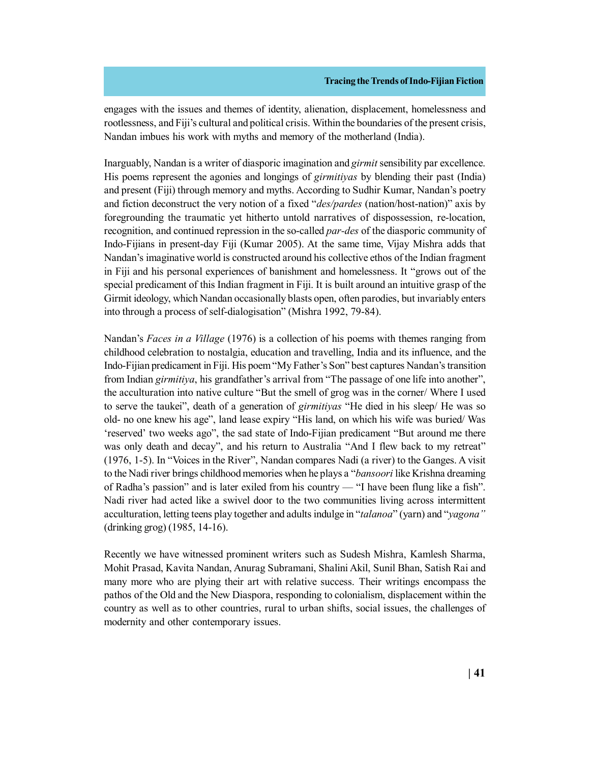engages with the issues and themes of identity, alienation, displacement, homelessness and rootlessness, and Fiji's cultural and political crisis. Within the boundaries of the present crisis, Nandan imbues his work with myths and memory of the motherland (India).

Inarguably, Nandan is a writer of diasporic imagination and *girmit* sensibility par excellence. His poems represent the agonies and longings of *girmitiyas* by blending their past (India) and present (Fiji) through memory and myths. According to Sudhir Kumar, Nandan's poetry and fiction deconstruct the very notion of a fixed "*des/pardes* (nation/host-nation)" axis by foregrounding the traumatic yet hitherto untold narratives of dispossession, relocation, recognition, and continued repression in the so-called *par-des* of the diasporic community of Indo-Fijians in present-day Fiji (Kumar 2005). At the same time, Vijay Mishra adds that Nandan's imaginative world is constructed around his collective ethos of the Indian fragment in Fiji and his personal experiences of banishment and homelessness. It "grows out of the special predicament of this Indian fragment in Fiji. It is built around an intuitive grasp of the Girmit ideology, which Nandan occasionally blasts open, often parodies, but invariably enters into through a process of self-dialogisation" (Mishra 1992, 79-84).

Nandan's *Faces in a Village* (1976) is a collection of his poems with themes ranging from childhood celebration to nostalgia, education and travelling, India and its influence, and the Indo-Fijian predicament in Fiji. His poem "My Father's Son" best captures Nandan's transition from Indian *girmitiya*, his grandfather's arrival from "The passage of one life into another", the acculturation into native culture "But the smell of grog was in the corner/ Where I used to serve the taukei", death of a generation of *girmitiyas* "He died in his sleep/ He was so old- no one knew his age", land lease expiry "His land, on which his wife was buried/ Was 'reserved' two weeks ago", the sad state of Indo-Fijian predicament "But around me there was only death and decay", and his return to Australia "And I flew back to my retreat" (1976, 1-5). In "Voices in the River", Nandan compares Nadi (a river) to the Ganges. A visit to the Nadi river brings childhood memories when he plays a "*bansoori* like Krishna dreaming of Radha's passion" and is later exiled from his country — "I have been flung like a fish". Nadi river had acted like a swivel door to the two communities living across intermittent acculturation, letting teens play together and adults indulge in "*talanoa*" (yarn) and "*yagona"* (drinking grog) (1985, 14-16).

Recently we have witnessed prominent writers such as Sudesh Mishra, Kamlesh Sharma, Mohit Prasad, Kavita Nandan, Anurag Subramani, Shalini Akil, Sunil Bhan, Satish Rai and many more who are plying their art with relative success. Their writings encompass the pathos of the Old and the New Diaspora, responding to colonialism, displacement within the country as well as to other countries, rural to urban shifts, social issues, the challenges of modernity and other contemporary issues.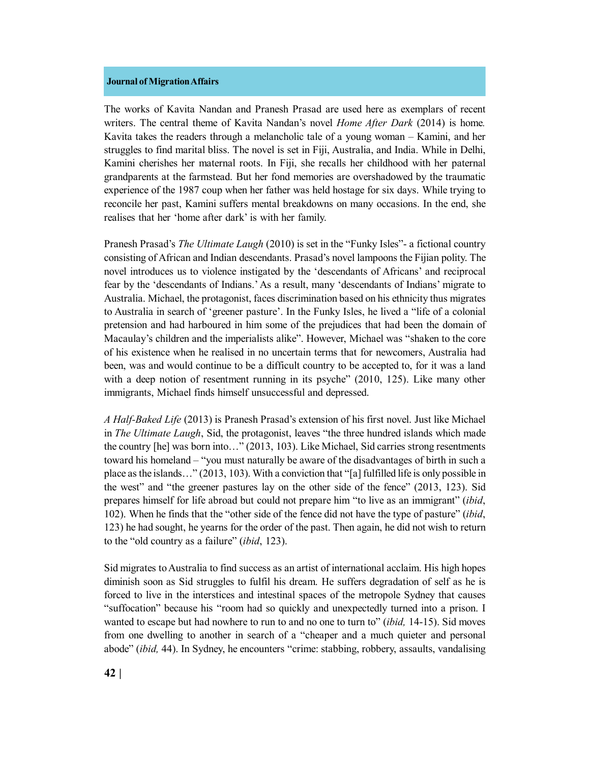The works of Kavita Nandan and Pranesh Prasad are used here as exemplars of recent writers. The central theme of Kavita Nandan's novel *Home After Dark* (2014) is home*.* Kavita takes the readers through a melancholic tale of a young woman – Kamini, and her struggles to find marital bliss. The novel is set in Fiji, Australia, and India. While in Delhi, Kamini cherishes her maternal roots. In Fiji, she recalls her childhood with her paternal grandparents at the farmstead. But her fond memories are overshadowed by the traumatic experience of the 1987 coup when her father was held hostage for six days. While trying to reconcile her past, Kamini suffers mental breakdowns on many occasions. In the end, she realises that her 'home after dark' is with her family.

Pranesh Prasad's *The Ultimate Laugh* (2010) is set in the "Funky Isles"- a fictional country consisting of African and Indian descendants. Prasad's novel lampoons the Fijian polity. The novel introduces us to violence instigated by the 'descendants of Africans' and reciprocal fear by the 'descendants of Indians.' As a result, many 'descendants of Indians' migrate to Australia. Michael, the protagonist, faces discrimination based on his ethnicity thus migrates to Australia in search of 'greener pasture'. In the Funky Isles, he lived a "life of a colonial pretension and had harboured in him some of the prejudices that had been the domain of Macaulay's children and the imperialists alike". However, Michael was "shaken to the core of his existence when he realised in no uncertain terms that for newcomers, Australia had been, was and would continue to be a difficult country to be accepted to, for it was a land with a deep notion of resentment running in its psyche" (2010, 125). Like many other immigrants, Michael finds himself unsuccessful and depressed.

*A Half-Baked Life* (2013) is Pranesh Prasad's extension of his first novel. Just like Michael in *The Ultimate Laugh*, Sid, the protagonist, leaves "the three hundred islands which made the country [he] was born into…" (2013, 103). Like Michael, Sid carries strong resentments toward his homeland – "you must naturally be aware of the disadvantages of birth in such a place as the islands…" (2013, 103). With a conviction that "[a] fulfilled life is only possible in the west" and "the greener pastures lay on the other side of the fence" (2013, 123). Sid prepares himself for life abroad but could not prepare him "to live as an immigrant" (*ibid*, 102). When he finds that the "other side of the fence did not have the type of pasture" (*ibid*, 123) he had sought, he yearns for the order of the past. Then again, he did not wish to return to the "old country as a failure" (*ibid*, 123).

Sid migrates to Australia to find success as an artist of international acclaim. His high hopes diminish soon as Sid struggles to fulfil his dream. He suffers degradation of self as he is forced to live in the interstices and intestinal spaces of the metropole Sydney that causes "suffocation" because his "room had so quickly and unexpectedly turned into a prison. I wanted to escape but had nowhere to run to and no one to turn to" (*ibid,* 14-15). Sid moves from one dwelling to another in search of a "cheaper and a much quieter and personal abode" (*ibid,* 44). In Sydney, he encounters "crime: stabbing, robbery, assaults, vandalising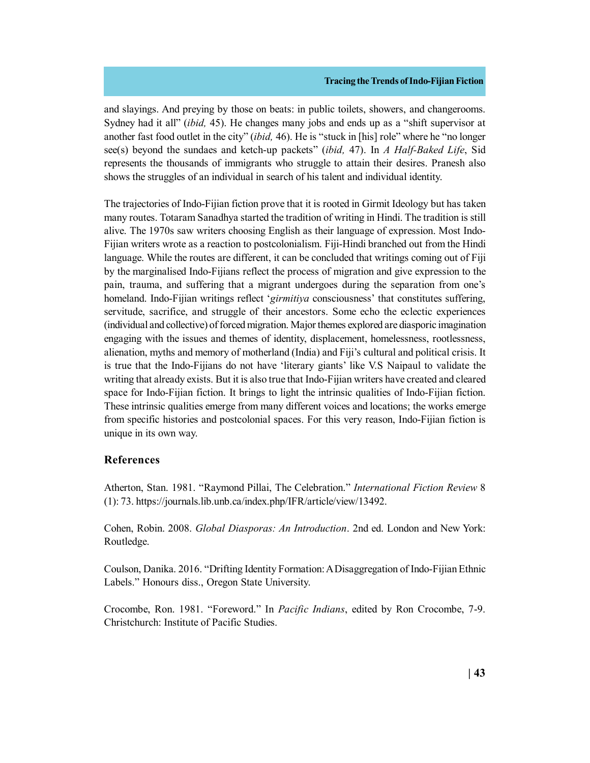and slayings. And preying by those on beats: in public toilets, showers, and changerooms. Sydney had it all" (*ibid,* 45). He changes many jobs and ends up as a "shift supervisor at another fast food outlet in the city" (*ibid,* 46). He is "stuck in [his] role" where he "no longer see(s) beyond the sundaes and ketch-up packets" (*ibid,* 47). In *A Half-Baked Life*, Sid represents the thousands of immigrants who struggle to attain their desires. Pranesh also shows the struggles of an individual in search of his talent and individual identity.

The trajectories of Indo-Fijian fiction prove that it is rooted in Girmit Ideology but has taken many routes. Totaram Sanadhya started the tradition of writing in Hindi. The tradition is still alive. The 1970s saw writers choosing English as their language of expression. Most Indo-Fijian writers wrote as a reaction to postcolonialism. Fiji-Hindi branched out from the Hindi language. While the routes are different, it can be concluded that writings coming out of Fiji by the marginalised Indo-Fijians reflect the process of migration and give expression to the pain, trauma, and suffering that a migrant undergoes during the separation from one's homeland. Indo-Fijian writings reflect '*girmitiya* consciousness' that constitutes suffering, servitude, sacrifice, and struggle of their ancestors. Some echo the eclectic experiences (individual and collective) of forced migration. Major themes explored are diasporic imagination engaging with the issues and themes of identity, displacement, homelessness, rootlessness, alienation, myths and memory of motherland (India) and Fiji's cultural and political crisis. It is true that the Indo-Fijians do not have 'literary giants' like V.S Naipaul to validate the writing that already exists. But it is also true that Indo-Fijian writers have created and cleared space for Indo-Fijian fiction. It brings to light the intrinsic qualities of Indo-Fijian fiction. These intrinsic qualities emerge from many different voices and locations; the works emerge from specific histories and postcolonial spaces. For this very reason, Indo-Fijian fiction is unique in its own way.

# **References**

Atherton, Stan. 1981. "Raymond Pillai, The Celebration." *International Fiction Review* 8 (1): 73. https://journals.lib.unb.ca/index.php/IFR/article/view/13492.

Cohen, Robin. 2008. *Global Diasporas: An Introduction*. 2nd ed. London and New York: Routledge.

Coulson, Danika. 2016. "Drifting Identity Formation: A Disaggregation of Indo-Fijian Ethnic Labels." Honours diss., Oregon State University.

Crocombe, Ron. 1981. "Foreword." In *Pacific Indians*, edited by Ron Crocombe, 7-9. Christchurch: Institute of Pacific Studies.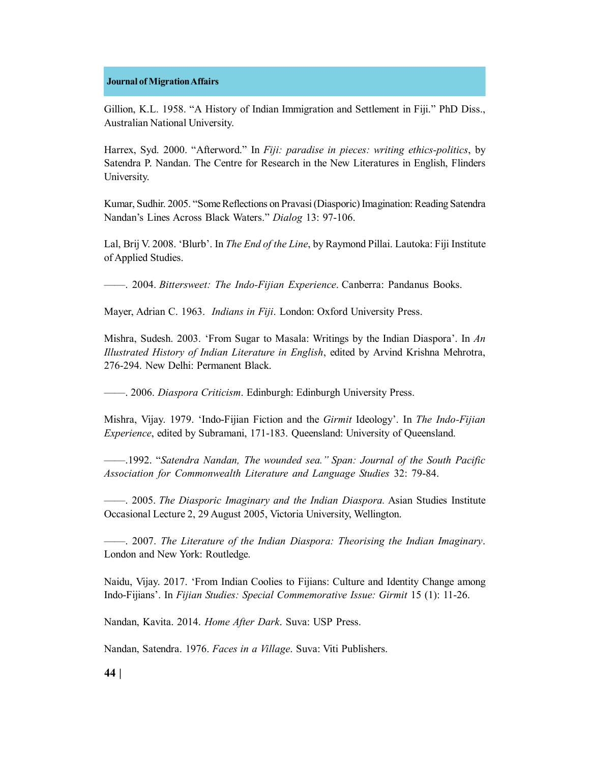Gillion, K.L. 1958. "A History of Indian Immigration and Settlement in Fiji." PhD Diss., Australian National University.

Harrex, Syd. 2000. "Afterword." In *Fiji: paradise in pieces: writing ethics-politics*, by Satendra P. Nandan. The Centre for Research in the New Literatures in English, Flinders University.

Kumar, Sudhir. 2005. "Some Reflections on Pravasi (Diasporic) Imagination: Reading Satendra Nandan's Lines Across Black Waters." *Dialog* 13: 97-106.

Lal, Brij V. 2008. 'Blurb'. In *The End of the Line*, by Raymond Pillai. Lautoka: Fiji Institute of Applied Studies.

——. 2004. *Bittersweet: The Indo-Fijian Experience*. Canberra: Pandanus Books.

Mayer, Adrian C. 1963. *Indians in Fiji*. London: Oxford University Press.

Mishra, Sudesh. 2003. 'From Sugar to Masala: Writings by the Indian Diaspora'. In *An Illustrated History of Indian Literature in English*, edited by Arvind Krishna Mehrotra, 276-294. New Delhi: Permanent Black.

——. 2006. *Diaspora Criticism*. Edinburgh: Edinburgh University Press.

Mishra, Vijay. 1979. 'Indo-Fijian Fiction and the *Girmit* Ideology'. In *The Indo-Fijian Experience*, edited by Subramani, 171-183. Queensland: University of Queensland.

——.1992. "*Satendra Nandan, The wounded sea." Span: Journal of the South Pacific Association for Commonwealth Literature and Language Studies* 32: 79-84.

——. 2005. *The Diasporic Imaginary and the Indian Diaspora.* Asian Studies Institute Occasional Lecture 2, 29 August 2005, Victoria University, Wellington.

——. 2007. *The Literature of the Indian Diaspora: Theorising the Indian Imaginary*. London and New York: Routledge.

Naidu, Vijay. 2017. 'From Indian Coolies to Fijians: Culture and Identity Change among Indo-Fijians'. In *Fijian Studies: Special Commemorative Issue: Girmit* 15 (1): 11-26.

Nandan, Kavita. 2014. *Home After Dark*. Suva: USP Press.

Nandan, Satendra. 1976. *Faces in a Village*. Suva: Viti Publishers.

**44 |**